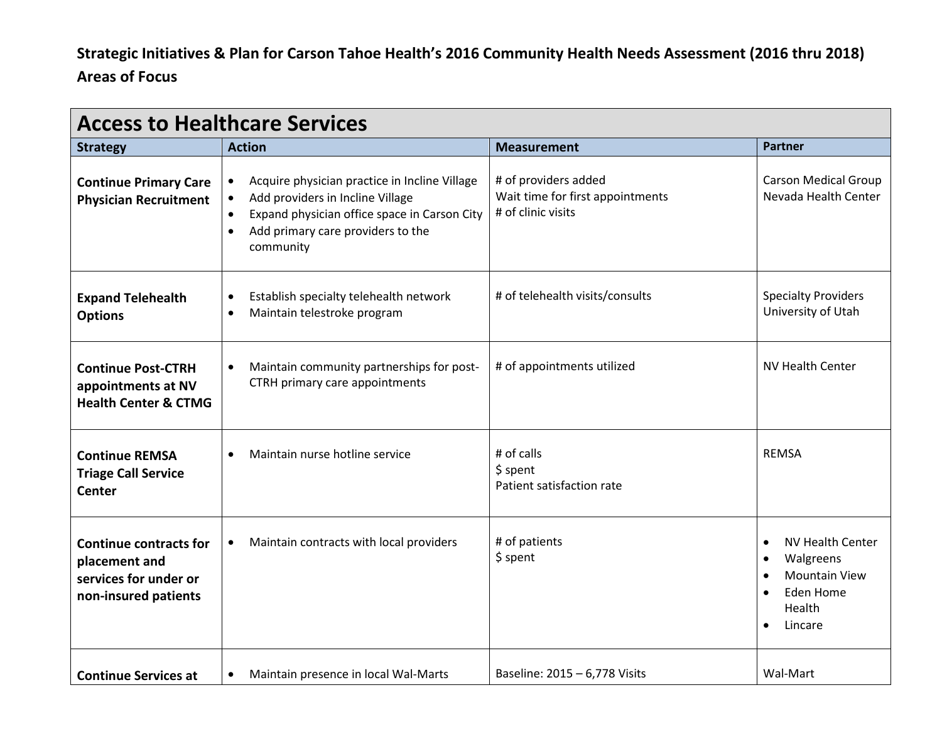## **Strategic Initiatives & Plan for Carson Tahoe Health's 2016 Community Health Needs Assessment (2016 thru 2018) Areas of Focus**

| <b>Access to Healthcare Services</b>                                                            |                                                                                                                                                                                                  |                                                                                |                                                                                                                                             |  |
|-------------------------------------------------------------------------------------------------|--------------------------------------------------------------------------------------------------------------------------------------------------------------------------------------------------|--------------------------------------------------------------------------------|---------------------------------------------------------------------------------------------------------------------------------------------|--|
| <b>Strategy</b>                                                                                 | <b>Action</b>                                                                                                                                                                                    | <b>Measurement</b>                                                             | <b>Partner</b>                                                                                                                              |  |
| <b>Continue Primary Care</b><br><b>Physician Recruitment</b>                                    | Acquire physician practice in Incline Village<br>Add providers in Incline Village<br>Expand physician office space in Carson City<br>Add primary care providers to the<br>$\bullet$<br>community | # of providers added<br>Wait time for first appointments<br># of clinic visits | <b>Carson Medical Group</b><br>Nevada Health Center                                                                                         |  |
| <b>Expand Telehealth</b><br><b>Options</b>                                                      | Establish specialty telehealth network<br>$\bullet$<br>Maintain telestroke program<br>$\bullet$                                                                                                  | # of telehealth visits/consults                                                | <b>Specialty Providers</b><br>University of Utah                                                                                            |  |
| <b>Continue Post-CTRH</b><br>appointments at NV<br><b>Health Center &amp; CTMG</b>              | Maintain community partnerships for post-<br>$\bullet$<br>CTRH primary care appointments                                                                                                         | # of appointments utilized                                                     | <b>NV Health Center</b>                                                                                                                     |  |
| <b>Continue REMSA</b><br><b>Triage Call Service</b><br><b>Center</b>                            | Maintain nurse hotline service<br>$\bullet$                                                                                                                                                      | # of calls<br>\$ spent<br>Patient satisfaction rate                            | <b>REMSA</b>                                                                                                                                |  |
| <b>Continue contracts for</b><br>placement and<br>services for under or<br>non-insured patients | Maintain contracts with local providers<br>$\bullet$                                                                                                                                             | # of patients<br>\$ spent                                                      | NV Health Center<br>$\bullet$<br>Walgreens<br>$\bullet$<br><b>Mountain View</b><br>$\bullet$<br>Eden Home<br>Health<br>Lincare<br>$\bullet$ |  |
| <b>Continue Services at</b>                                                                     | Maintain presence in local Wal-Marts<br>$\bullet$                                                                                                                                                | Baseline: 2015 - 6,778 Visits                                                  | Wal-Mart                                                                                                                                    |  |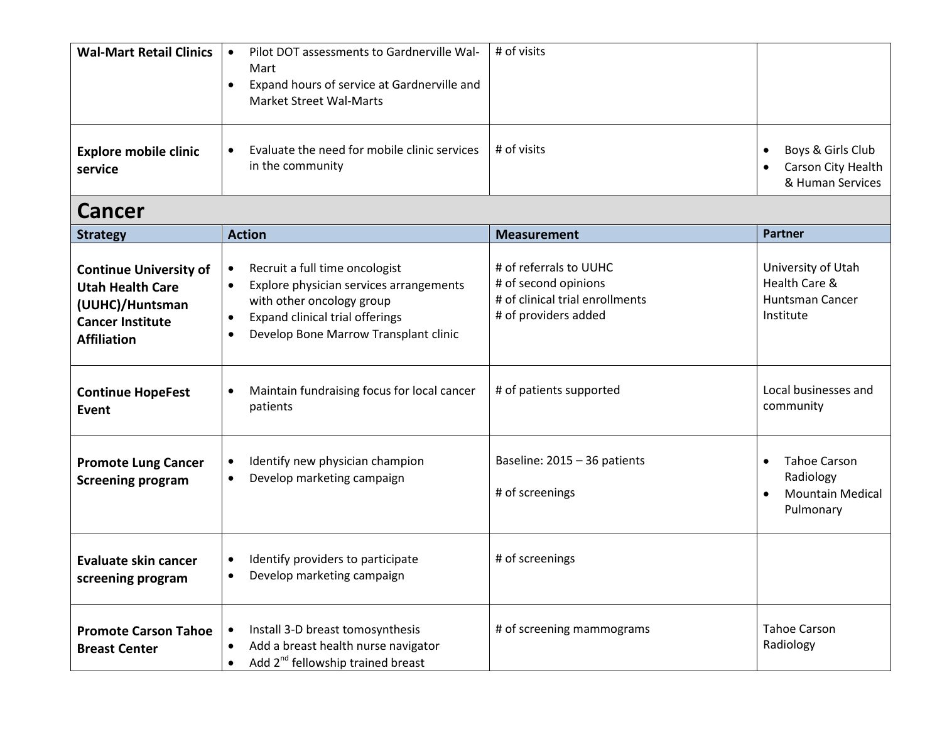| <b>Wal-Mart Retail Clinics</b>          | Pilot DOT assessments to Gardnerville Wal-<br>Mart<br>Expand hours of service at Gardnerville and<br><b>Market Street Wal-Marts</b> | # of visits |                                                                          |
|-----------------------------------------|-------------------------------------------------------------------------------------------------------------------------------------|-------------|--------------------------------------------------------------------------|
| <b>Explore mobile clinic</b><br>service | Evaluate the need for mobile clinic services<br>in the community                                                                    | # of visits | Boys & Girls Club<br>Carson City Health<br>$\bullet$<br>& Human Services |

## **Cancer**

| <b>Strategy</b>                                                                                                              | <b>Action</b>                                                                                                                                                                                                                          | <b>Measurement</b>                                                                                        | <b>Partner</b>                                                                        |
|------------------------------------------------------------------------------------------------------------------------------|----------------------------------------------------------------------------------------------------------------------------------------------------------------------------------------------------------------------------------------|-----------------------------------------------------------------------------------------------------------|---------------------------------------------------------------------------------------|
| <b>Continue University of</b><br><b>Utah Health Care</b><br>(UUHC)/Huntsman<br><b>Cancer Institute</b><br><b>Affiliation</b> | Recruit a full time oncologist<br>$\bullet$<br>Explore physician services arrangements<br>$\bullet$<br>with other oncology group<br>Expand clinical trial offerings<br>$\bullet$<br>Develop Bone Marrow Transplant clinic<br>$\bullet$ | # of referrals to UUHC<br># of second opinions<br># of clinical trial enrollments<br># of providers added | University of Utah<br>Health Care &<br><b>Huntsman Cancer</b><br>Institute            |
| <b>Continue HopeFest</b><br>Event                                                                                            | Maintain fundraising focus for local cancer<br>$\bullet$<br>patients                                                                                                                                                                   | # of patients supported                                                                                   | Local businesses and<br>community                                                     |
| <b>Promote Lung Cancer</b><br><b>Screening program</b>                                                                       | Identify new physician champion<br>$\bullet$<br>Develop marketing campaign<br>$\bullet$                                                                                                                                                | Baseline: 2015 - 36 patients<br># of screenings                                                           | <b>Tahoe Carson</b><br>$\bullet$<br>Radiology<br><b>Mountain Medical</b><br>Pulmonary |
| Evaluate skin cancer<br>screening program                                                                                    | Identify providers to participate<br>$\bullet$<br>Develop marketing campaign<br>$\bullet$                                                                                                                                              | # of screenings                                                                                           |                                                                                       |
| <b>Promote Carson Tahoe</b><br><b>Breast Center</b>                                                                          | Install 3-D breast tomosynthesis<br>$\bullet$<br>Add a breast health nurse navigator<br>$\bullet$<br>Add 2 <sup>nd</sup> fellowship trained breast                                                                                     | # of screening mammograms                                                                                 | <b>Tahoe Carson</b><br>Radiology                                                      |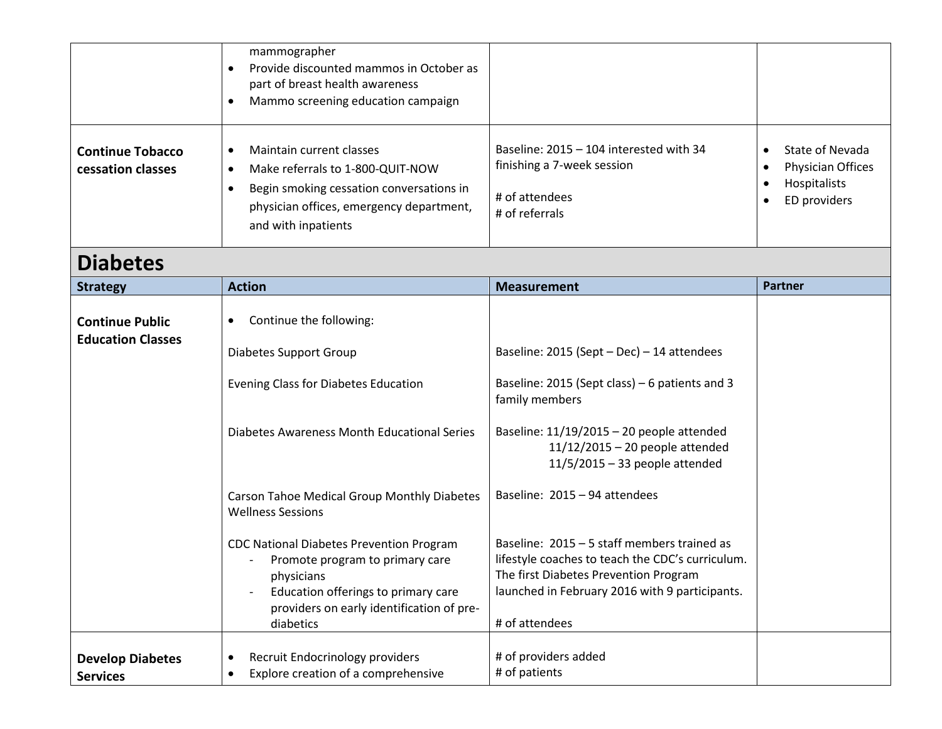|                                                    | mammographer<br>Provide discounted mammos in October as<br>$\bullet$<br>part of breast health awareness<br>Mammo screening education campaign<br>$\bullet$                                                                                                                   |                                                                                                                                                                                                                                                                                   |                                                                      |
|----------------------------------------------------|------------------------------------------------------------------------------------------------------------------------------------------------------------------------------------------------------------------------------------------------------------------------------|-----------------------------------------------------------------------------------------------------------------------------------------------------------------------------------------------------------------------------------------------------------------------------------|----------------------------------------------------------------------|
| <b>Continue Tobacco</b><br>cessation classes       | Maintain current classes<br>$\bullet$<br>Make referrals to 1-800-QUIT-NOW<br>$\bullet$<br>Begin smoking cessation conversations in<br>$\bullet$<br>physician offices, emergency department,<br>and with inpatients                                                           | Baseline: 2015 - 104 interested with 34<br>finishing a 7-week session<br># of attendees<br># of referrals                                                                                                                                                                         | State of Nevada<br>Physician Offices<br>Hospitalists<br>ED providers |
| <b>Diabetes</b>                                    |                                                                                                                                                                                                                                                                              |                                                                                                                                                                                                                                                                                   |                                                                      |
| <b>Strategy</b>                                    | <b>Action</b>                                                                                                                                                                                                                                                                | <b>Measurement</b>                                                                                                                                                                                                                                                                | <b>Partner</b>                                                       |
| <b>Continue Public</b><br><b>Education Classes</b> | Continue the following:<br>$\bullet$<br>Diabetes Support Group<br><b>Evening Class for Diabetes Education</b><br>Diabetes Awareness Month Educational Series                                                                                                                 | Baseline: 2015 (Sept - Dec) - 14 attendees<br>Baseline: 2015 (Sept class) - 6 patients and 3<br>family members<br>Baseline: $11/19/2015 - 20$ people attended<br>11/12/2015 - 20 people attended                                                                                  |                                                                      |
|                                                    | Carson Tahoe Medical Group Monthly Diabetes<br><b>Wellness Sessions</b><br><b>CDC National Diabetes Prevention Program</b><br>Promote program to primary care<br>physicians<br>Education offerings to primary care<br>providers on early identification of pre-<br>diabetics | $11/5/2015 - 33$ people attended<br>Baseline: 2015 - 94 attendees<br>Baseline: 2015 - 5 staff members trained as<br>lifestyle coaches to teach the CDC's curriculum.<br>The first Diabetes Prevention Program<br>launched in February 2016 with 9 participants.<br># of attendees |                                                                      |
| <b>Develop Diabetes</b><br><b>Services</b>         | Recruit Endocrinology providers<br>$\bullet$<br>Explore creation of a comprehensive<br>$\bullet$                                                                                                                                                                             | # of providers added<br># of patients                                                                                                                                                                                                                                             |                                                                      |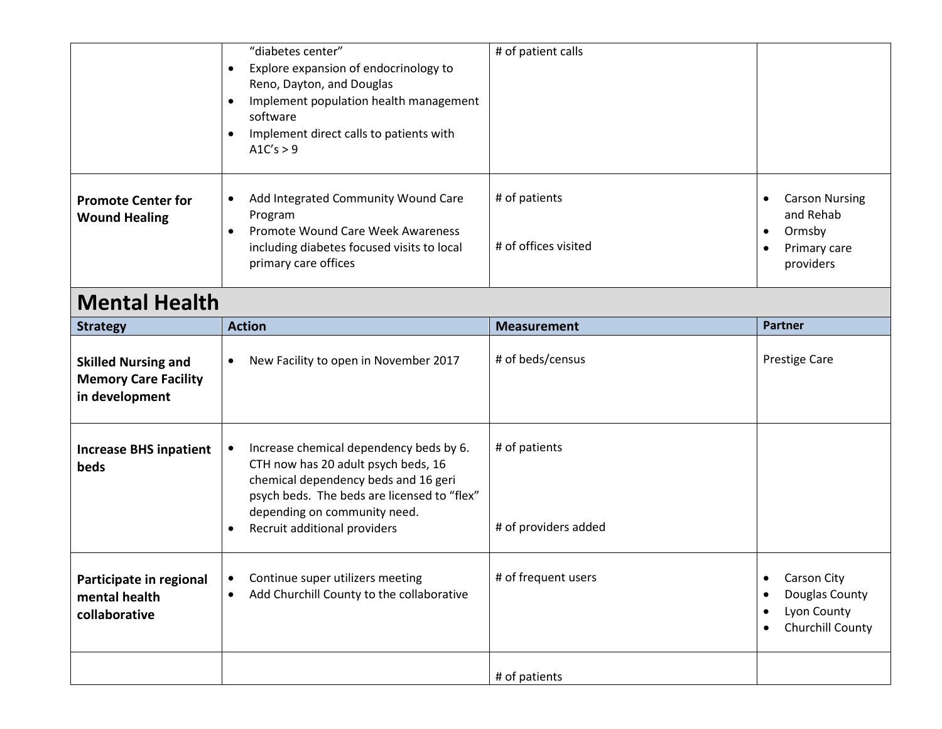|                                                                             | "diabetes center"<br>Explore expansion of endocrinology to<br>$\bullet$<br>Reno, Dayton, and Douglas<br>Implement population health management<br>software<br>Implement direct calls to patients with<br>$\bullet$<br>A1C's > 9       | # of patient calls                    |                                                                                        |  |
|-----------------------------------------------------------------------------|---------------------------------------------------------------------------------------------------------------------------------------------------------------------------------------------------------------------------------------|---------------------------------------|----------------------------------------------------------------------------------------|--|
| <b>Promote Center for</b><br><b>Wound Healing</b>                           | Add Integrated Community Wound Care<br>٠<br>Program<br>Promote Wound Care Week Awareness<br>including diabetes focused visits to local<br>primary care offices                                                                        | # of patients<br># of offices visited | <b>Carson Nursing</b><br>$\bullet$<br>and Rehab<br>Ormsby<br>Primary care<br>providers |  |
| <b>Mental Health</b>                                                        |                                                                                                                                                                                                                                       |                                       |                                                                                        |  |
| <b>Strategy</b>                                                             | <b>Action</b>                                                                                                                                                                                                                         | <b>Measurement</b>                    | <b>Partner</b>                                                                         |  |
| <b>Skilled Nursing and</b><br><b>Memory Care Facility</b><br>in development | New Facility to open in November 2017<br>$\bullet$                                                                                                                                                                                    | # of beds/census                      | <b>Prestige Care</b>                                                                   |  |
| <b>Increase BHS inpatient</b><br>beds                                       | Increase chemical dependency beds by 6.<br>CTH now has 20 adult psych beds, 16<br>chemical dependency beds and 16 geri<br>psych beds. The beds are licensed to "flex"<br>depending on community need.<br>Recruit additional providers | # of patients<br># of providers added |                                                                                        |  |
| Participate in regional<br>mental health<br>collaborative                   | Continue super utilizers meeting<br>$\bullet$<br>Add Churchill County to the collaborative<br>$\bullet$                                                                                                                               | # of frequent users                   | <b>Carson City</b><br>٠<br>Douglas County<br>Lyon County<br>Churchill County<br>٠      |  |
|                                                                             |                                                                                                                                                                                                                                       | # of patients                         |                                                                                        |  |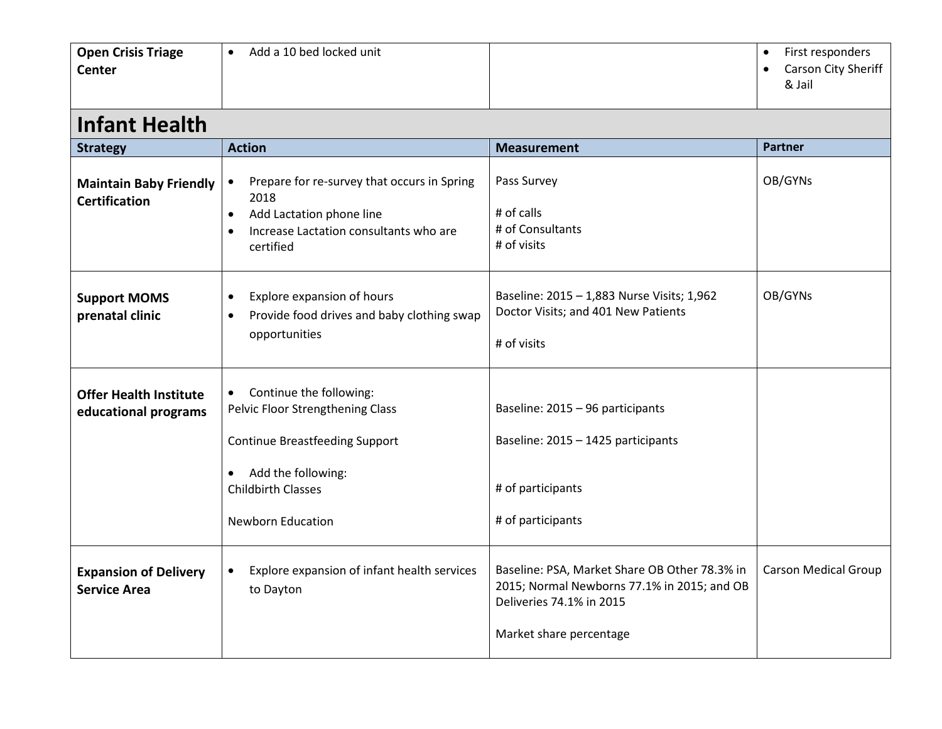| <b>Open Crisis Triage</b><br>Center                   | Add a 10 bed locked unit<br>$\bullet$                                                                                                                                                            |                                                                                                                                                     | First responders<br>$\bullet$<br>Carson City Sheriff<br>& Jail |
|-------------------------------------------------------|--------------------------------------------------------------------------------------------------------------------------------------------------------------------------------------------------|-----------------------------------------------------------------------------------------------------------------------------------------------------|----------------------------------------------------------------|
| <b>Infant Health</b>                                  |                                                                                                                                                                                                  |                                                                                                                                                     |                                                                |
| <b>Strategy</b>                                       | <b>Action</b>                                                                                                                                                                                    | <b>Measurement</b>                                                                                                                                  | <b>Partner</b>                                                 |
| <b>Maintain Baby Friendly</b><br><b>Certification</b> | Prepare for re-survey that occurs in Spring<br>$\bullet$<br>2018<br>Add Lactation phone line<br>$\bullet$<br>Increase Lactation consultants who are<br>$\bullet$<br>certified                    | Pass Survey<br># of calls<br># of Consultants<br># of visits                                                                                        | OB/GYNs                                                        |
| <b>Support MOMS</b><br>prenatal clinic                | Explore expansion of hours<br>$\bullet$<br>Provide food drives and baby clothing swap<br>$\bullet$<br>opportunities                                                                              | Baseline: 2015 - 1,883 Nurse Visits; 1,962<br>Doctor Visits; and 401 New Patients<br># of visits                                                    | OB/GYNs                                                        |
| <b>Offer Health Institute</b><br>educational programs | Continue the following:<br>$\bullet$<br>Pelvic Floor Strengthening Class<br><b>Continue Breastfeeding Support</b><br>Add the following:<br><b>Childbirth Classes</b><br><b>Newborn Education</b> | Baseline: 2015 - 96 participants<br>Baseline: 2015 - 1425 participants<br># of participants<br># of participants                                    |                                                                |
| <b>Expansion of Delivery</b><br><b>Service Area</b>   | Explore expansion of infant health services<br>$\bullet$<br>to Dayton                                                                                                                            | Baseline: PSA, Market Share OB Other 78.3% in<br>2015; Normal Newborns 77.1% in 2015; and OB<br>Deliveries 74.1% in 2015<br>Market share percentage | <b>Carson Medical Group</b>                                    |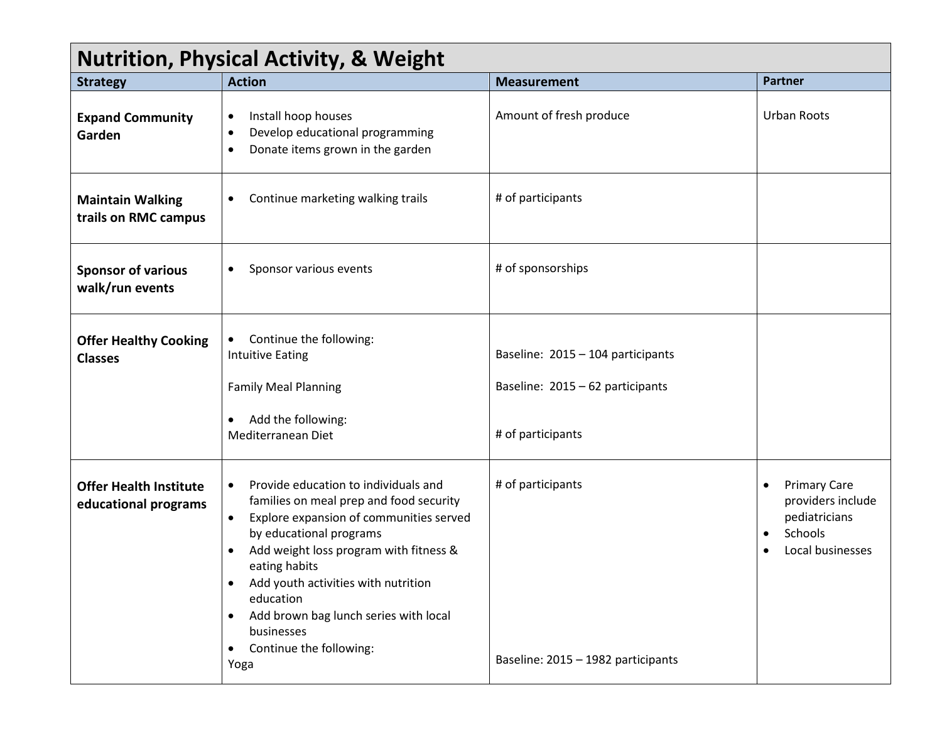## **Nutrition, Physical Activity, & Weight**

|                                                       | $\mathbf{r}$ and $\mathbf{r}$ and $\mathbf{r}$ and $\mathbf{r}$ and $\mathbf{r}$ and $\mathbf{r}$ and $\mathbf{r}$                                                                                                                                                                                                                                                                                                                           |                                                                                            |                                                                                                                    |
|-------------------------------------------------------|----------------------------------------------------------------------------------------------------------------------------------------------------------------------------------------------------------------------------------------------------------------------------------------------------------------------------------------------------------------------------------------------------------------------------------------------|--------------------------------------------------------------------------------------------|--------------------------------------------------------------------------------------------------------------------|
| <b>Strategy</b>                                       | <b>Action</b>                                                                                                                                                                                                                                                                                                                                                                                                                                | <b>Measurement</b>                                                                         | <b>Partner</b>                                                                                                     |
| <b>Expand Community</b><br>Garden                     | Install hoop houses<br>$\bullet$<br>Develop educational programming<br>$\bullet$<br>Donate items grown in the garden<br>$\bullet$                                                                                                                                                                                                                                                                                                            | Amount of fresh produce                                                                    | <b>Urban Roots</b>                                                                                                 |
| <b>Maintain Walking</b><br>trails on RMC campus       | Continue marketing walking trails                                                                                                                                                                                                                                                                                                                                                                                                            | # of participants                                                                          |                                                                                                                    |
| <b>Sponsor of various</b><br>walk/run events          | Sponsor various events<br>$\bullet$                                                                                                                                                                                                                                                                                                                                                                                                          | # of sponsorships                                                                          |                                                                                                                    |
| <b>Offer Healthy Cooking</b><br><b>Classes</b>        | Continue the following:<br>$\bullet$<br><b>Intuitive Eating</b><br><b>Family Meal Planning</b><br>Add the following:<br>Mediterranean Diet                                                                                                                                                                                                                                                                                                   | Baseline: 2015 - 104 participants<br>Baseline: 2015 - 62 participants<br># of participants |                                                                                                                    |
| <b>Offer Health Institute</b><br>educational programs | Provide education to individuals and<br>$\bullet$<br>families on meal prep and food security<br>Explore expansion of communities served<br>$\bullet$<br>by educational programs<br>Add weight loss program with fitness &<br>$\bullet$<br>eating habits<br>Add youth activities with nutrition<br>$\bullet$<br>education<br>Add brown bag lunch series with local<br>$\bullet$<br>businesses<br>Continue the following:<br>$\bullet$<br>Yoga | # of participants<br>Baseline: 2015 - 1982 participants                                    | <b>Primary Care</b><br>$\bullet$<br>providers include<br>pediatricians<br>Schools<br>$\bullet$<br>Local businesses |